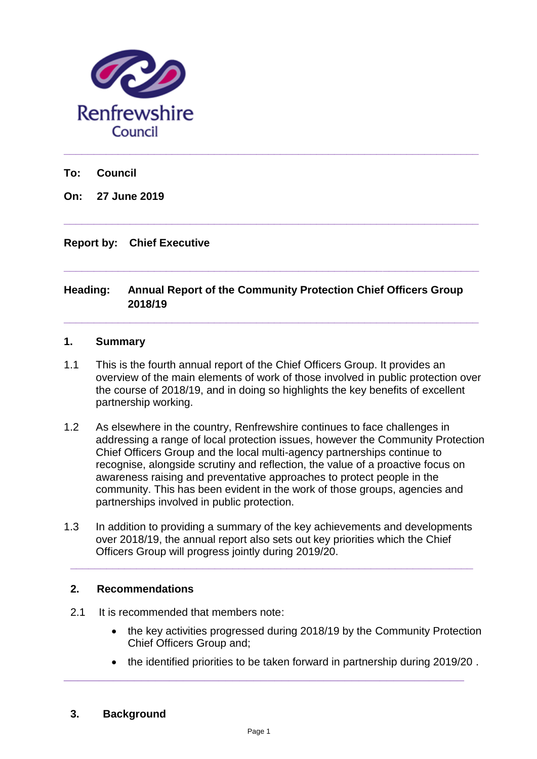

**To: Council**

**On: 27 June 2019** 

# **Report by: Chief Executive**

# **Heading: Annual Report of the Community Protection Chief Officers Group 2018/19**

**\_\_\_\_\_\_\_\_\_\_\_\_\_\_\_\_\_\_\_\_\_\_\_\_\_\_\_\_\_\_\_\_\_\_\_\_\_\_\_\_\_\_\_\_\_\_\_\_\_\_\_\_\_\_\_\_\_\_\_\_\_\_\_\_\_\_\_\_\_**

**\_\_\_\_\_\_\_\_\_\_\_\_\_\_\_\_\_\_\_\_\_\_\_\_\_\_\_\_\_\_\_\_\_\_\_\_\_\_\_\_\_\_\_\_\_\_\_\_\_\_\_\_\_\_\_\_\_\_\_\_\_\_\_\_\_\_\_\_\_**

**\_\_\_\_\_\_\_\_\_\_\_\_\_\_\_\_\_\_\_\_\_\_\_\_\_\_\_\_\_\_\_\_\_\_\_\_\_\_\_\_\_\_\_\_\_\_\_\_\_\_\_\_\_\_\_\_\_\_\_\_\_\_\_\_\_\_\_\_\_**

**\_\_\_\_\_\_\_\_\_\_\_\_\_\_\_\_\_\_\_\_\_\_\_\_\_\_\_\_\_\_\_\_\_\_\_\_\_\_\_\_\_\_\_\_\_\_\_\_\_\_\_\_\_\_\_\_\_\_\_\_\_\_\_\_\_\_\_\_\_**

#### **1. Summary**

- 1.1 This is the fourth annual report of the Chief Officers Group. It provides an overview of the main elements of work of those involved in public protection over the course of 2018/19, and in doing so highlights the key benefits of excellent partnership working.
- 1.2 As elsewhere in the country, Renfrewshire continues to face challenges in addressing a range of local protection issues, however the Community Protection Chief Officers Group and the local multi-agency partnerships continue to recognise, alongside scrutiny and reflection, the value of a proactive focus on awareness raising and preventative approaches to protect people in the community. This has been evident in the work of those groups, agencies and partnerships involved in public protection.
- 1.3 In addition to providing a summary of the key achievements and developments over 2018/19, the annual report also sets out key priorities which the Chief Officers Group will progress jointly during 2019/20.

**\_\_\_\_\_\_\_\_\_\_\_\_\_\_\_\_\_\_\_\_\_\_\_\_\_\_\_\_\_\_\_\_\_\_\_\_\_\_\_\_\_\_\_\_\_\_\_\_\_\_\_\_\_\_\_\_\_\_\_\_\_\_\_\_\_\_\_**

# **2. Recommendations**

- 2.1 It is recommended that members note:
	- the key activities progressed during 2018/19 by the Community Protection Chief Officers Group and;
	- the identified priorities to be taken forward in partnership during 2019/20 .

# **3. Background**

**\_\_\_\_\_\_\_\_\_\_\_\_\_\_\_\_\_\_\_\_\_\_\_\_\_\_\_\_\_\_\_\_\_\_\_\_\_\_\_\_\_\_\_\_\_\_\_\_\_\_\_\_\_\_\_\_\_**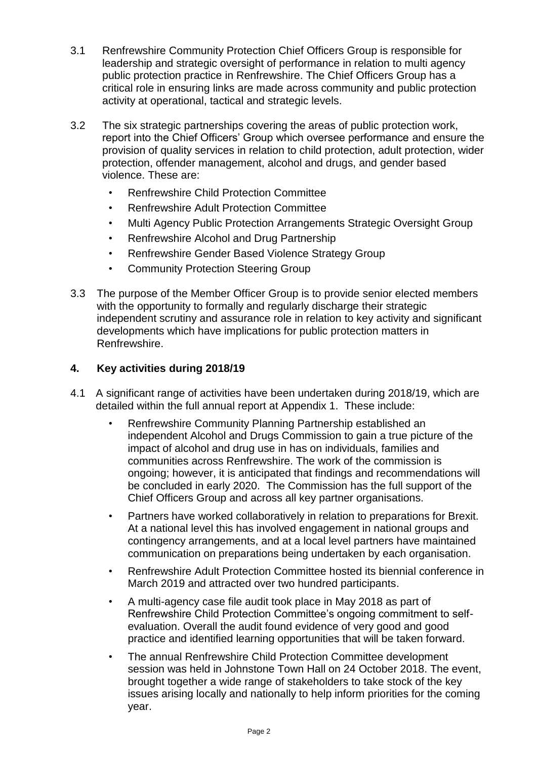- 3.1 Renfrewshire Community Protection Chief Officers Group is responsible for leadership and strategic oversight of performance in relation to multi agency public protection practice in Renfrewshire. The Chief Officers Group has a critical role in ensuring links are made across community and public protection activity at operational, tactical and strategic levels.
- 3.2 The six strategic partnerships covering the areas of public protection work, report into the Chief Officers' Group which oversee performance and ensure the provision of quality services in relation to child protection, adult protection, wider protection, offender management, alcohol and drugs, and gender based violence. These are:
	- Renfrewshire Child Protection Committee
	- Renfrewshire Adult Protection Committee
	- Multi Agency Public Protection Arrangements Strategic Oversight Group
	- Renfrewshire Alcohol and Drug Partnership
	- Renfrewshire Gender Based Violence Strategy Group
	- Community Protection Steering Group
- 3.3 The purpose of the Member Officer Group is to provide senior elected members with the opportunity to formally and regularly discharge their strategic independent scrutiny and assurance role in relation to key activity and significant developments which have implications for public protection matters in Renfrewshire.

# **4. Key activities during 2018/19**

- 4.1 A significant range of activities have been undertaken during 2018/19, which are detailed within the full annual report at Appendix 1. These include:
	- Renfrewshire Community Planning Partnership established an independent Alcohol and Drugs Commission to gain a true picture of the impact of alcohol and drug use in has on individuals, families and communities across Renfrewshire. The work of the commission is ongoing; however, it is anticipated that findings and recommendations will be concluded in early 2020. The Commission has the full support of the Chief Officers Group and across all key partner organisations.
	- Partners have worked collaboratively in relation to preparations for Brexit. At a national level this has involved engagement in national groups and contingency arrangements, and at a local level partners have maintained communication on preparations being undertaken by each organisation.
	- Renfrewshire Adult Protection Committee hosted its biennial conference in March 2019 and attracted over two hundred participants.
	- A multi-agency case file audit took place in May 2018 as part of Renfrewshire Child Protection Committee's ongoing commitment to selfevaluation. Overall the audit found evidence of very good and good practice and identified learning opportunities that will be taken forward.
	- The annual Renfrewshire Child Protection Committee development session was held in Johnstone Town Hall on 24 October 2018. The event, brought together a wide range of stakeholders to take stock of the key issues arising locally and nationally to help inform priorities for the coming year.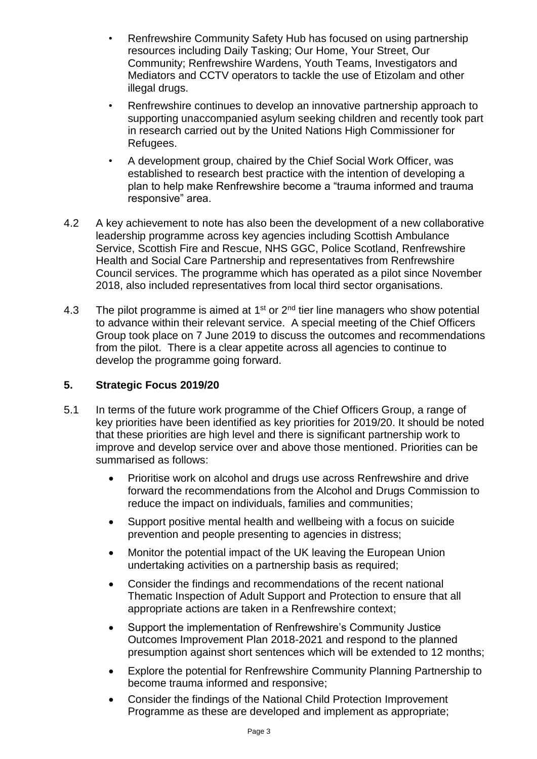- Renfrewshire Community Safety Hub has focused on using partnership resources including Daily Tasking; Our Home, Your Street, Our Community; Renfrewshire Wardens, Youth Teams, Investigators and Mediators and CCTV operators to tackle the use of Etizolam and other illegal drugs.
- Renfrewshire continues to develop an innovative partnership approach to supporting unaccompanied asylum seeking children and recently took part in research carried out by the United Nations High Commissioner for Refugees.
- A development group, chaired by the Chief Social Work Officer, was established to research best practice with the intention of developing a plan to help make Renfrewshire become a "trauma informed and trauma responsive" area.
- 4.2 A key achievement to note has also been the development of a new collaborative leadership programme across key agencies including Scottish Ambulance Service, Scottish Fire and Rescue, NHS GGC, Police Scotland, Renfrewshire Health and Social Care Partnership and representatives from Renfrewshire Council services. The programme which has operated as a pilot since November 2018, also included representatives from local third sector organisations.
- 4.3 The pilot programme is aimed at  $1<sup>st</sup>$  or  $2<sup>nd</sup>$  tier line managers who show potential to advance within their relevant service. A special meeting of the Chief Officers Group took place on 7 June 2019 to discuss the outcomes and recommendations from the pilot. There is a clear appetite across all agencies to continue to develop the programme going forward.

# **5. Strategic Focus 2019/20**

- 5.1 In terms of the future work programme of the Chief Officers Group, a range of key priorities have been identified as key priorities for 2019/20. It should be noted that these priorities are high level and there is significant partnership work to improve and develop service over and above those mentioned. Priorities can be summarised as follows:
	- Prioritise work on alcohol and drugs use across Renfrewshire and drive forward the recommendations from the Alcohol and Drugs Commission to reduce the impact on individuals, families and communities;
	- Support positive mental health and wellbeing with a focus on suicide prevention and people presenting to agencies in distress;
	- Monitor the potential impact of the UK leaving the European Union undertaking activities on a partnership basis as required;
	- Consider the findings and recommendations of the recent national Thematic Inspection of Adult Support and Protection to ensure that all appropriate actions are taken in a Renfrewshire context;
	- Support the implementation of Renfrewshire's Community Justice Outcomes Improvement Plan 2018-2021 and respond to the planned presumption against short sentences which will be extended to 12 months;
	- Explore the potential for Renfrewshire Community Planning Partnership to become trauma informed and responsive;
	- Consider the findings of the National Child Protection Improvement Programme as these are developed and implement as appropriate;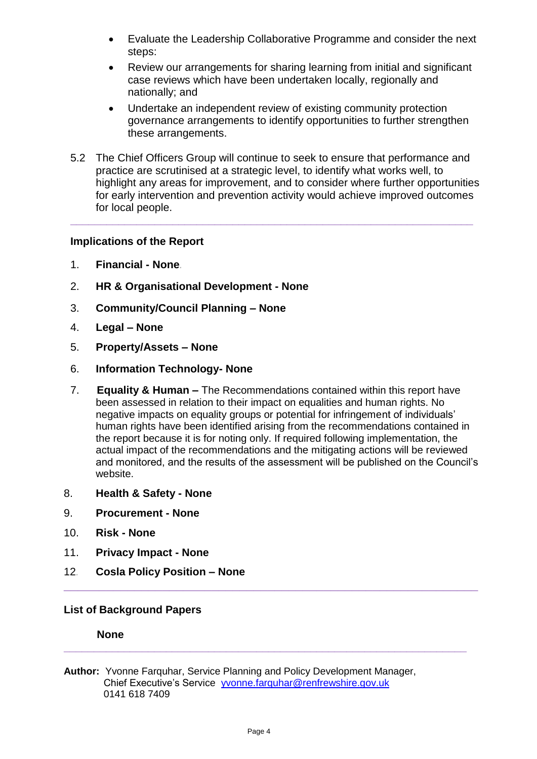- Evaluate the Leadership Collaborative Programme and consider the next steps:
- Review our arrangements for sharing learning from initial and significant case reviews which have been undertaken locally, regionally and nationally; and
- Undertake an independent review of existing community protection governance arrangements to identify opportunities to further strengthen these arrangements.
- 5.2 The Chief Officers Group will continue to seek to ensure that performance and practice are scrutinised at a strategic level, to identify what works well, to highlight any areas for improvement, and to consider where further opportunities for early intervention and prevention activity would achieve improved outcomes for local people.

**\_\_\_\_\_\_\_\_\_\_\_\_\_\_\_\_\_\_\_\_\_\_\_\_\_\_\_\_\_\_\_\_\_\_\_\_\_\_\_\_\_\_\_\_\_\_\_\_\_\_\_\_\_\_\_\_\_\_\_\_\_\_\_\_\_\_\_**

# **Implications of the Report**

- 1. **Financial - None***.*
- 2. **HR & Organisational Development - None**
- 3. **Community/Council Planning – None**
- 4. **Legal – None**
- 5. **Property/Assets – None**
- 6. **Information Technology- None**
- 7. **Equality & Human –** The Recommendations contained within this report have been assessed in relation to their impact on equalities and human rights. No negative impacts on equality groups or potential for infringement of individuals' human rights have been identified arising from the recommendations contained in the report because it is for noting only. If required following implementation, the actual impact of the recommendations and the mitigating actions will be reviewed and monitored, and the results of the assessment will be published on the Council's website.

**\_\_\_\_\_\_\_\_\_\_\_\_\_\_\_\_\_\_\_\_\_\_\_\_\_\_\_\_\_\_\_\_\_\_\_\_\_\_\_\_\_\_\_\_\_\_\_\_\_\_\_\_\_\_\_\_\_\_\_**

**\_\_\_\_\_\_\_\_\_\_\_\_\_\_\_\_\_\_\_\_\_\_\_\_\_\_\_\_\_\_\_\_\_\_\_\_\_\_\_\_\_\_\_\_\_\_\_\_\_\_\_\_\_\_\_\_\_\_\_\_\_\_\_\_\_\_\_**

- 8. **Health & Safety - None**
- 9. **Procurement - None**
- 10. **Risk - None**
- 11. **Privacy Impact - None**
- 12*.* **Cosla Policy Position – None**

#### **List of Background Papers**

**None** 

**Author:** Yvonne Farquhar, Service Planning and Policy Development Manager, Chief Executive's Service [yvonne.farquhar@renfrewshire.gov.uk](mailto:yvonne.farquhar@renfrewshire.gov.uk) 0141 618 7409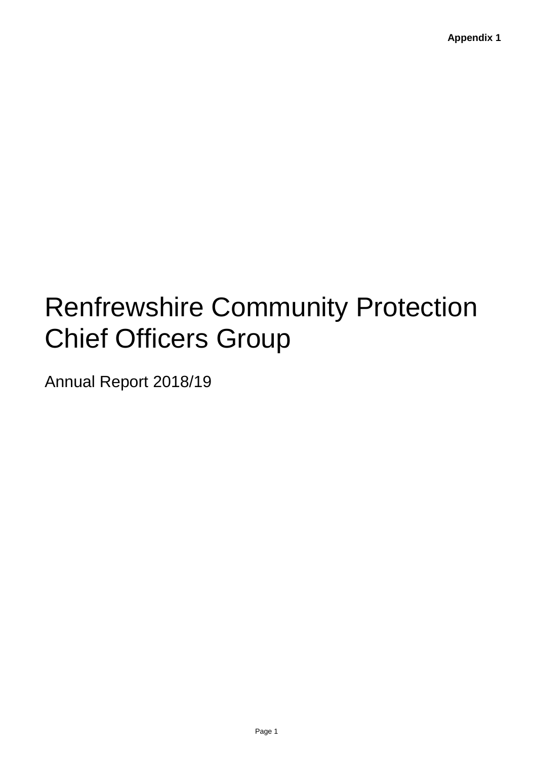# Renfrewshire Community Protection Chief Officers Group

Annual Report 2018/19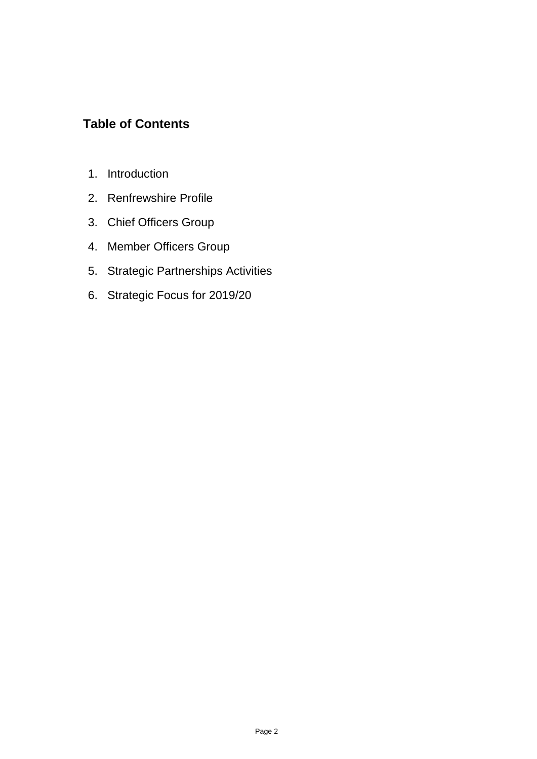# **Table of Contents**

- 1. Introduction
- 2. Renfrewshire Profile
- 3. Chief Officers Group
- 4. Member Officers Group
- 5. Strategic Partnerships Activities
- 6. Strategic Focus for 2019/20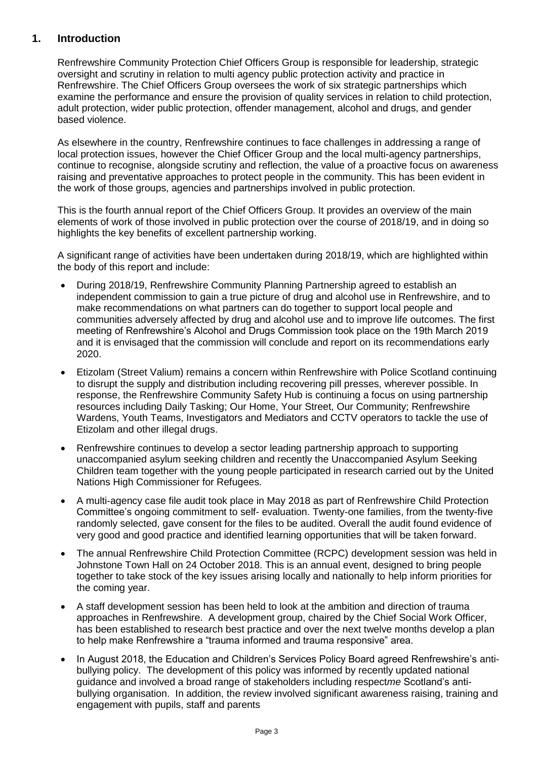# **1. Introduction**

Renfrewshire Community Protection Chief Officers Group is responsible for leadership, strategic oversight and scrutiny in relation to multi agency public protection activity and practice in Renfrewshire. The Chief Officers Group oversees the work of six strategic partnerships which examine the performance and ensure the provision of quality services in relation to child protection, adult protection, wider public protection, offender management, alcohol and drugs, and gender based violence.

As elsewhere in the country, Renfrewshire continues to face challenges in addressing a range of local protection issues, however the Chief Officer Group and the local multi-agency partnerships, continue to recognise, alongside scrutiny and reflection, the value of a proactive focus on awareness raising and preventative approaches to protect people in the community. This has been evident in the work of those groups, agencies and partnerships involved in public protection.

This is the fourth annual report of the Chief Officers Group. It provides an overview of the main elements of work of those involved in public protection over the course of 2018/19, and in doing so highlights the key benefits of excellent partnership working.

A significant range of activities have been undertaken during 2018/19, which are highlighted within the body of this report and include:

- During 2018/19, Renfrewshire Community Planning Partnership agreed to establish an independent commission to gain a true picture of drug and alcohol use in Renfrewshire, and to make recommendations on what partners can do together to support local people and communities adversely affected by drug and alcohol use and to improve life outcomes. The first meeting of Renfrewshire's Alcohol and Drugs Commission took place on the 19th March 2019 and it is envisaged that the commission will conclude and report on its recommendations early 2020.
- Etizolam (Street Valium) remains a concern within Renfrewshire with Police Scotland continuing to disrupt the supply and distribution including recovering pill presses, wherever possible. In response, the Renfrewshire Community Safety Hub is continuing a focus on using partnership resources including Daily Tasking; Our Home, Your Street, Our Community; Renfrewshire Wardens, Youth Teams, Investigators and Mediators and CCTV operators to tackle the use of Etizolam and other illegal drugs.
- Renfrewshire continues to develop a sector leading partnership approach to supporting unaccompanied asylum seeking children and recently the Unaccompanied Asylum Seeking Children team together with the young people participated in research carried out by the United Nations High Commissioner for Refugees.
- A multi-agency case file audit took place in May 2018 as part of Renfrewshire Child Protection Committee's ongoing commitment to self- evaluation. Twenty-one families, from the twenty-five randomly selected, gave consent for the files to be audited. Overall the audit found evidence of very good and good practice and identified learning opportunities that will be taken forward.
- The annual Renfrewshire Child Protection Committee (RCPC) development session was held in Johnstone Town Hall on 24 October 2018. This is an annual event, designed to bring people together to take stock of the key issues arising locally and nationally to help inform priorities for the coming year.
- A staff development session has been held to look at the ambition and direction of trauma approaches in Renfrewshire. A development group, chaired by the Chief Social Work Officer, has been established to research best practice and over the next twelve months develop a plan to help make Renfrewshire a "trauma informed and trauma responsive" area.
- In August 2018, the Education and Children's Services Policy Board agreed Renfrewshire's antibullying policy. The development of this policy was informed by recently updated national guidance and involved a broad range of stakeholders including respect*me* Scotland's antibullying organisation. In addition, the review involved significant awareness raising, training and engagement with pupils, staff and parents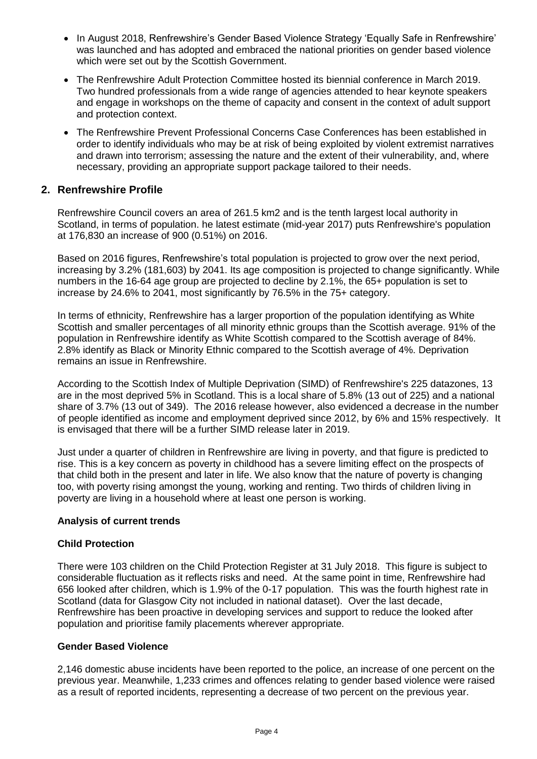- In August 2018, Renfrewshire's Gender Based Violence Strategy 'Equally Safe in Renfrewshire' was launched and has adopted and embraced the national priorities on gender based violence which were set out by the Scottish Government.
- The Renfrewshire Adult Protection Committee hosted its biennial conference in March 2019. Two hundred professionals from a wide range of agencies attended to hear keynote speakers and engage in workshops on the theme of capacity and consent in the context of adult support and protection context.
- The Renfrewshire Prevent Professional Concerns Case Conferences has been established in order to identify individuals who may be at risk of being exploited by violent extremist narratives and drawn into terrorism; assessing the nature and the extent of their vulnerability, and, where necessary, providing an appropriate support package tailored to their needs.

# **2. Renfrewshire Profile**

Renfrewshire Council covers an area of 261.5 km2 and is the tenth largest local authority in Scotland, in terms of population. he latest estimate (mid-year 2017) puts Renfrewshire's population at 176,830 an increase of 900 (0.51%) on 2016.

Based on 2016 figures, Renfrewshire's total population is projected to grow over the next period, increasing by 3.2% (181,603) by 2041. Its age composition is projected to change significantly. While numbers in the 16-64 age group are projected to decline by 2.1%, the 65+ population is set to increase by 24.6% to 2041, most significantly by 76.5% in the 75+ category.

In terms of ethnicity, Renfrewshire has a larger proportion of the population identifying as White Scottish and smaller percentages of all minority ethnic groups than the Scottish average. 91% of the population in Renfrewshire identify as White Scottish compared to the Scottish average of 84%. 2.8% identify as Black or Minority Ethnic compared to the Scottish average of 4%. Deprivation remains an issue in Renfrewshire.

According to the Scottish Index of Multiple Deprivation (SIMD) of Renfrewshire's 225 datazones, 13 are in the most deprived 5% in Scotland. This is a local share of 5.8% (13 out of 225) and a national share of 3.7% (13 out of 349). The 2016 release however, also evidenced a decrease in the number of people identified as income and employment deprived since 2012, by 6% and 15% respectively. It is envisaged that there will be a further SIMD release later in 2019.

Just under a quarter of children in Renfrewshire are living in poverty, and that figure is predicted to rise. This is a key concern as poverty in childhood has a severe limiting effect on the prospects of that child both in the present and later in life. We also know that the nature of poverty is changing too, with poverty rising amongst the young, working and renting. Two thirds of children living in poverty are living in a household where at least one person is working.

#### **Analysis of current trends**

#### **Child Protection**

There were 103 children on the Child Protection Register at 31 July 2018. This figure is subject to considerable fluctuation as it reflects risks and need. At the same point in time, Renfrewshire had 656 looked after children, which is 1.9% of the 0-17 population. This was the fourth highest rate in Scotland (data for Glasgow City not included in national dataset). Over the last decade, Renfrewshire has been proactive in developing services and support to reduce the looked after population and prioritise family placements wherever appropriate.

#### **Gender Based Violence**

2,146 domestic abuse incidents have been reported to the police, an increase of one percent on the previous year. Meanwhile, 1,233 crimes and offences relating to gender based violence were raised as a result of reported incidents, representing a decrease of two percent on the previous year.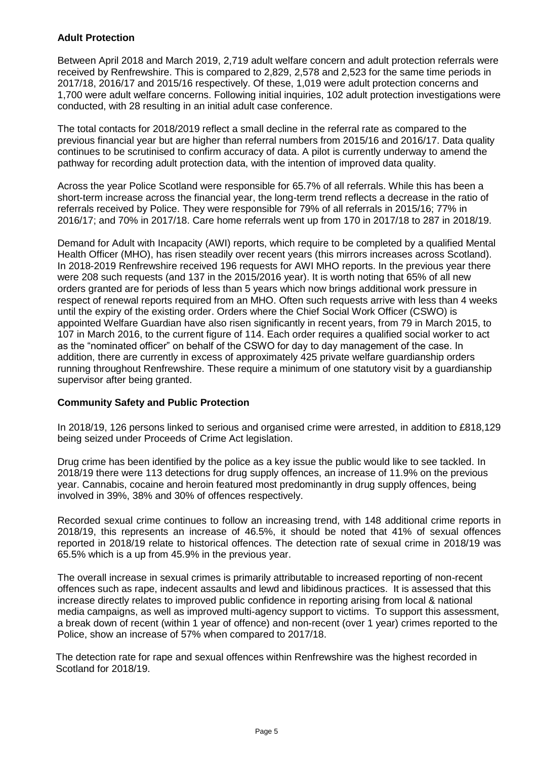#### **Adult Protection**

Between April 2018 and March 2019, 2,719 adult welfare concern and adult protection referrals were received by Renfrewshire. This is compared to 2,829, 2,578 and 2,523 for the same time periods in 2017/18, 2016/17 and 2015/16 respectively. Of these, 1,019 were adult protection concerns and 1,700 were adult welfare concerns. Following initial inquiries, 102 adult protection investigations were conducted, with 28 resulting in an initial adult case conference.

The total contacts for 2018/2019 reflect a small decline in the referral rate as compared to the previous financial year but are higher than referral numbers from 2015/16 and 2016/17. Data quality continues to be scrutinised to confirm accuracy of data. A pilot is currently underway to amend the pathway for recording adult protection data, with the intention of improved data quality.

Across the year Police Scotland were responsible for 65.7% of all referrals. While this has been a short-term increase across the financial year, the long-term trend reflects a decrease in the ratio of referrals received by Police. They were responsible for 79% of all referrals in 2015/16; 77% in 2016/17; and 70% in 2017/18. Care home referrals went up from 170 in 2017/18 to 287 in 2018/19.

Demand for Adult with Incapacity (AWI) reports, which require to be completed by a qualified Mental Health Officer (MHO), has risen steadily over recent years (this mirrors increases across Scotland). In 2018-2019 Renfrewshire received 196 requests for AWI MHO reports. In the previous year there were 208 such requests (and 137 in the 2015/2016 year). It is worth noting that 65% of all new orders granted are for periods of less than 5 years which now brings additional work pressure in respect of renewal reports required from an MHO. Often such requests arrive with less than 4 weeks until the expiry of the existing order. Orders where the Chief Social Work Officer (CSWO) is appointed Welfare Guardian have also risen significantly in recent years, from 79 in March 2015, to 107 in March 2016, to the current figure of 114. Each order requires a qualified social worker to act as the "nominated officer" on behalf of the CSWO for day to day management of the case. In addition, there are currently in excess of approximately 425 private welfare guardianship orders running throughout Renfrewshire. These require a minimum of one statutory visit by a guardianship supervisor after being granted.

#### **Community Safety and Public Protection**

In 2018/19, 126 persons linked to serious and organised crime were arrested, in addition to £818,129 being seized under Proceeds of Crime Act legislation.

Drug crime has been identified by the police as a key issue the public would like to see tackled. In 2018/19 there were 113 detections for drug supply offences, an increase of 11.9% on the previous year. Cannabis, cocaine and heroin featured most predominantly in drug supply offences, being involved in 39%, 38% and 30% of offences respectively.

Recorded sexual crime continues to follow an increasing trend, with 148 additional crime reports in 2018/19, this represents an increase of 46.5%, it should be noted that 41% of sexual offences reported in 2018/19 relate to historical offences. The detection rate of sexual crime in 2018/19 was 65.5% which is a up from 45.9% in the previous year.

The overall increase in sexual crimes is primarily attributable to increased reporting of non-recent offences such as rape, indecent assaults and lewd and libidinous practices. It is assessed that this increase directly relates to improved public confidence in reporting arising from local & national media campaigns, as well as improved multi-agency support to victims. To support this assessment, a break down of recent (within 1 year of offence) and non-recent (over 1 year) crimes reported to the Police, show an increase of 57% when compared to 2017/18.

The detection rate for rape and sexual offences within Renfrewshire was the highest recorded in Scotland for 2018/19.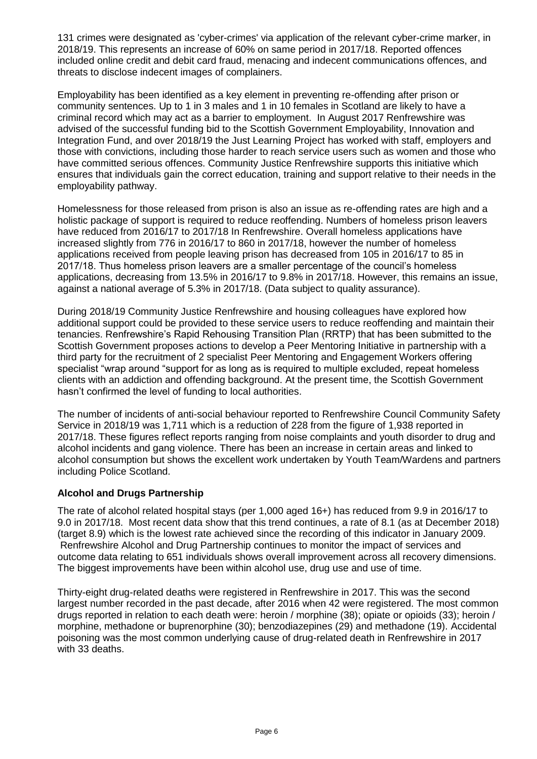131 crimes were designated as 'cyber-crimes' via application of the relevant cyber-crime marker, in 2018/19. This represents an increase of 60% on same period in 2017/18. Reported offences included online credit and debit card fraud, menacing and indecent communications offences, and threats to disclose indecent images of complainers.

Employability has been identified as a key element in preventing re-offending after prison or community sentences. Up to 1 in 3 males and 1 in 10 females in Scotland are likely to have a criminal record which may act as a barrier to employment. In August 2017 Renfrewshire was advised of the successful funding bid to the Scottish Government Employability, Innovation and Integration Fund, and over 2018/19 the Just Learning Project has worked with staff, employers and those with convictions, including those harder to reach service users such as women and those who have committed serious offences. Community Justice Renfrewshire supports this initiative which ensures that individuals gain the correct education, training and support relative to their needs in the employability pathway.

Homelessness for those released from prison is also an issue as re-offending rates are high and a holistic package of support is required to reduce reoffending. Numbers of homeless prison leavers have reduced from 2016/17 to 2017/18 In Renfrewshire. Overall homeless applications have increased slightly from 776 in 2016/17 to 860 in 2017/18, however the number of homeless applications received from people leaving prison has decreased from 105 in 2016/17 to 85 in 2017/18. Thus homeless prison leavers are a smaller percentage of the council's homeless applications, decreasing from 13.5% in 2016/17 to 9.8% in 2017/18. However, this remains an issue, against a national average of 5.3% in 2017/18. (Data subject to quality assurance).

During 2018/19 Community Justice Renfrewshire and housing colleagues have explored how additional support could be provided to these service users to reduce reoffending and maintain their tenancies. Renfrewshire's Rapid Rehousing Transition Plan (RRTP) that has been submitted to the Scottish Government proposes actions to develop a Peer Mentoring Initiative in partnership with a third party for the recruitment of 2 specialist Peer Mentoring and Engagement Workers offering specialist "wrap around "support for as long as is required to multiple excluded, repeat homeless clients with an addiction and offending background. At the present time, the Scottish Government hasn't confirmed the level of funding to local authorities.

The number of incidents of anti-social behaviour reported to Renfrewshire Council Community Safety Service in 2018/19 was 1,711 which is a reduction of 228 from the figure of 1,938 reported in 2017/18. These figures reflect reports ranging from noise complaints and youth disorder to drug and alcohol incidents and gang violence. There has been an increase in certain areas and linked to alcohol consumption but shows the excellent work undertaken by Youth Team/Wardens and partners including Police Scotland.

# **Alcohol and Drugs Partnership**

The rate of alcohol related hospital stays (per 1,000 aged 16+) has reduced from 9.9 in 2016/17 to 9.0 in 2017/18. Most recent data show that this trend continues, a rate of 8.1 (as at December 2018) (target 8.9) which is the lowest rate achieved since the recording of this indicator in January 2009. Renfrewshire Alcohol and Drug Partnership continues to monitor the impact of services and outcome data relating to 651 individuals shows overall improvement across all recovery dimensions. The biggest improvements have been within alcohol use, drug use and use of time.

Thirty-eight drug-related deaths were registered in Renfrewshire in 2017. This was the second largest number recorded in the past decade, after 2016 when 42 were registered. The most common drugs reported in relation to each death were: heroin / morphine (38); opiate or opioids (33); heroin / morphine, methadone or buprenorphine (30); benzodiazepines (29) and methadone (19). Accidental poisoning was the most common underlying cause of drug-related death in Renfrewshire in 2017 with 33 deaths.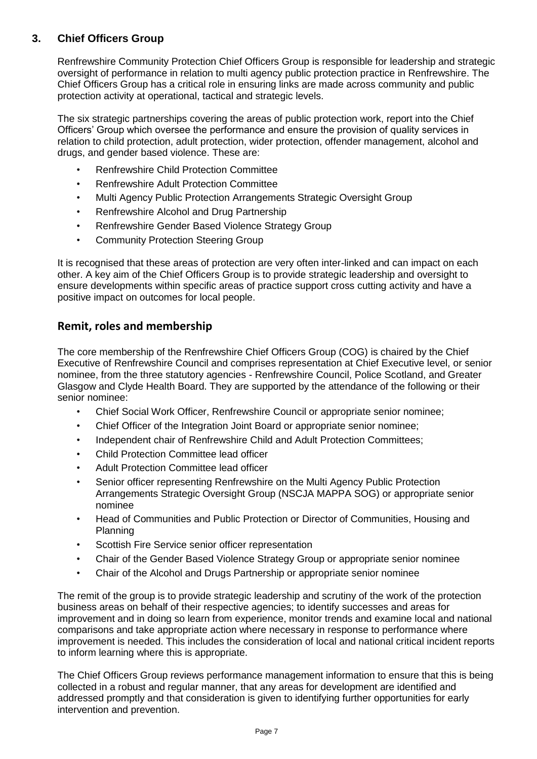# **3. Chief Officers Group**

Renfrewshire Community Protection Chief Officers Group is responsible for leadership and strategic oversight of performance in relation to multi agency public protection practice in Renfrewshire. The Chief Officers Group has a critical role in ensuring links are made across community and public protection activity at operational, tactical and strategic levels.

The six strategic partnerships covering the areas of public protection work, report into the Chief Officers' Group which oversee the performance and ensure the provision of quality services in relation to child protection, adult protection, wider protection, offender management, alcohol and drugs, and gender based violence. These are:

- Renfrewshire Child Protection Committee
- Renfrewshire Adult Protection Committee
- Multi Agency Public Protection Arrangements Strategic Oversight Group
- Renfrewshire Alcohol and Drug Partnership
- Renfrewshire Gender Based Violence Strategy Group
- Community Protection Steering Group

It is recognised that these areas of protection are very often inter-linked and can impact on each other. A key aim of the Chief Officers Group is to provide strategic leadership and oversight to ensure developments within specific areas of practice support cross cutting activity and have a positive impact on outcomes for local people.

# **Remit, roles and membership**

The core membership of the Renfrewshire Chief Officers Group (COG) is chaired by the Chief Executive of Renfrewshire Council and comprises representation at Chief Executive level, or senior nominee, from the three statutory agencies - Renfrewshire Council, Police Scotland, and Greater Glasgow and Clyde Health Board. They are supported by the attendance of the following or their senior nominee:

- Chief Social Work Officer, Renfrewshire Council or appropriate senior nominee;
- Chief Officer of the Integration Joint Board or appropriate senior nominee;
- Independent chair of Renfrewshire Child and Adult Protection Committees;
- Child Protection Committee lead officer
- Adult Protection Committee lead officer
- Senior officer representing Renfrewshire on the Multi Agency Public Protection Arrangements Strategic Oversight Group (NSCJA MAPPA SOG) or appropriate senior nominee
- Head of Communities and Public Protection or Director of Communities, Housing and Planning
- Scottish Fire Service senior officer representation
- Chair of the Gender Based Violence Strategy Group or appropriate senior nominee
- Chair of the Alcohol and Drugs Partnership or appropriate senior nominee

The remit of the group is to provide strategic leadership and scrutiny of the work of the protection business areas on behalf of their respective agencies; to identify successes and areas for improvement and in doing so learn from experience, monitor trends and examine local and national comparisons and take appropriate action where necessary in response to performance where improvement is needed. This includes the consideration of local and national critical incident reports to inform learning where this is appropriate.

The Chief Officers Group reviews performance management information to ensure that this is being collected in a robust and regular manner, that any areas for development are identified and addressed promptly and that consideration is given to identifying further opportunities for early intervention and prevention.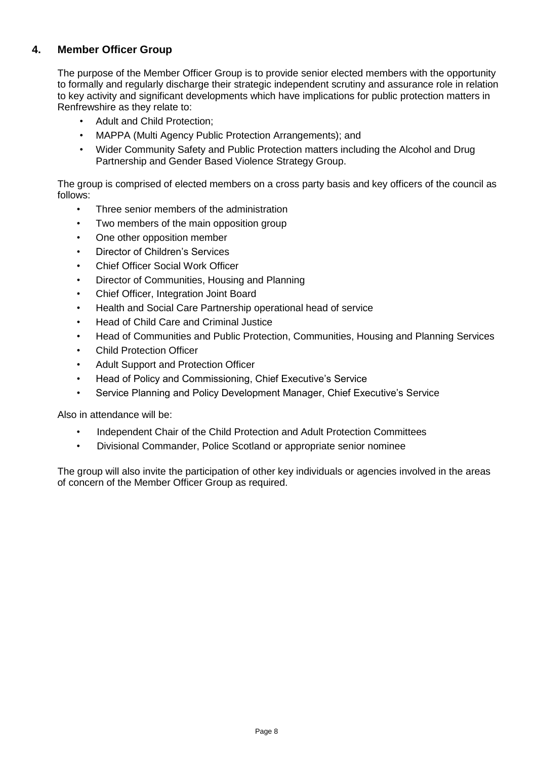# **4. Member Officer Group**

The purpose of the Member Officer Group is to provide senior elected members with the opportunity to formally and regularly discharge their strategic independent scrutiny and assurance role in relation to key activity and significant developments which have implications for public protection matters in Renfrewshire as they relate to:

- Adult and Child Protection;
- MAPPA (Multi Agency Public Protection Arrangements); and
- Wider Community Safety and Public Protection matters including the Alcohol and Drug Partnership and Gender Based Violence Strategy Group.

The group is comprised of elected members on a cross party basis and key officers of the council as follows:

- Three senior members of the administration
- Two members of the main opposition group
- One other opposition member
- Director of Children's Services
- Chief Officer Social Work Officer
- Director of Communities, Housing and Planning
- Chief Officer, Integration Joint Board
- Health and Social Care Partnership operational head of service
- Head of Child Care and Criminal Justice
- Head of Communities and Public Protection, Communities, Housing and Planning Services
- Child Protection Officer
- Adult Support and Protection Officer
- Head of Policy and Commissioning, Chief Executive's Service
- Service Planning and Policy Development Manager, Chief Executive's Service

Also in attendance will be:

- Independent Chair of the Child Protection and Adult Protection Committees
- Divisional Commander, Police Scotland or appropriate senior nominee

The group will also invite the participation of other key individuals or agencies involved in the areas of concern of the Member Officer Group as required.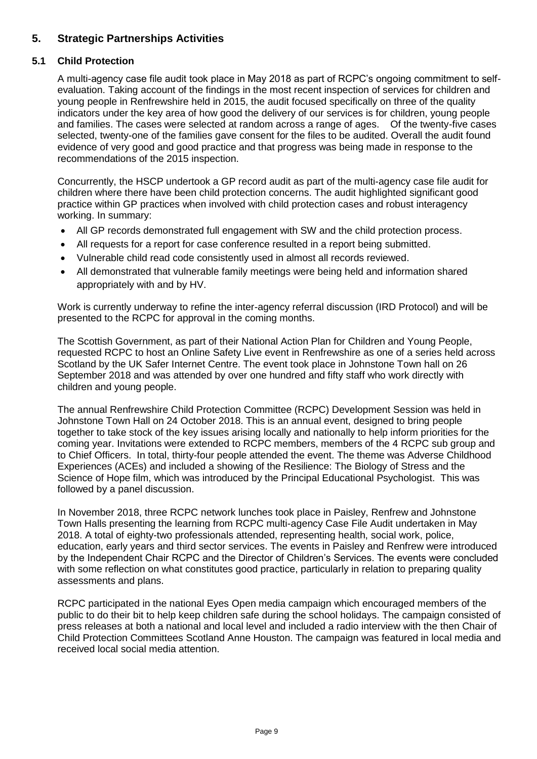# **5. Strategic Partnerships Activities**

# **5.1 Child Protection**

A multi-agency case file audit took place in May 2018 as part of RCPC's ongoing commitment to selfevaluation. Taking account of the findings in the most recent inspection of services for children and young people in Renfrewshire held in 2015, the audit focused specifically on three of the quality indicators under the key area of how good the delivery of our services is for children, young people and families. The cases were selected at random across a range of ages. Of the twenty-five cases selected, twenty-one of the families gave consent for the files to be audited. Overall the audit found evidence of very good and good practice and that progress was being made in response to the recommendations of the 2015 inspection.

Concurrently, the HSCP undertook a GP record audit as part of the multi-agency case file audit for children where there have been child protection concerns. The audit highlighted significant good practice within GP practices when involved with child protection cases and robust interagency working. In summary:

- All GP records demonstrated full engagement with SW and the child protection process.
- All requests for a report for case conference resulted in a report being submitted.
- Vulnerable child read code consistently used in almost all records reviewed.
- All demonstrated that vulnerable family meetings were being held and information shared appropriately with and by HV.

Work is currently underway to refine the inter-agency referral discussion (IRD Protocol) and will be presented to the RCPC for approval in the coming months.

The Scottish Government, as part of their National Action Plan for Children and Young People, requested RCPC to host an Online Safety Live event in Renfrewshire as one of a series held across Scotland by the UK Safer Internet Centre. The event took place in Johnstone Town hall on 26 September 2018 and was attended by over one hundred and fifty staff who work directly with children and young people.

The annual Renfrewshire Child Protection Committee (RCPC) Development Session was held in Johnstone Town Hall on 24 October 2018. This is an annual event, designed to bring people together to take stock of the key issues arising locally and nationally to help inform priorities for the coming year. Invitations were extended to RCPC members, members of the 4 RCPC sub group and to Chief Officers. In total, thirty-four people attended the event. The theme was Adverse Childhood Experiences (ACEs) and included a showing of the Resilience: The Biology of Stress and the Science of Hope film, which was introduced by the Principal Educational Psychologist. This was followed by a panel discussion.

In November 2018, three RCPC network lunches took place in Paisley, Renfrew and Johnstone Town Halls presenting the learning from RCPC multi-agency Case File Audit undertaken in May 2018. A total of eighty-two professionals attended, representing health, social work, police, education, early years and third sector services. The events in Paisley and Renfrew were introduced by the Independent Chair RCPC and the Director of Children's Services. The events were concluded with some reflection on what constitutes good practice, particularly in relation to preparing quality assessments and plans.

RCPC participated in the national Eyes Open media campaign which encouraged members of the public to do their bit to help keep children safe during the school holidays. The campaign consisted of press releases at both a national and local level and included a radio interview with the then Chair of Child Protection Committees Scotland Anne Houston. The campaign was featured in local media and received local social media attention.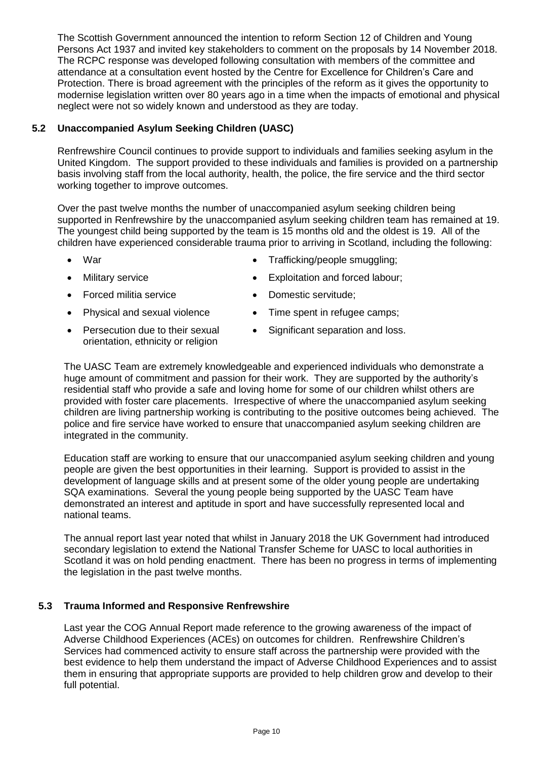The Scottish Government announced the intention to reform Section 12 of Children and Young Persons Act 1937 and invited key stakeholders to comment on the proposals by 14 November 2018. The RCPC response was developed following consultation with members of the committee and attendance at a consultation event hosted by the Centre for Excellence for Children's Care and Protection. There is broad agreement with the principles of the reform as it gives the opportunity to modernise legislation written over 80 years ago in a time when the impacts of emotional and physical neglect were not so widely known and understood as they are today.

## **5.2 Unaccompanied Asylum Seeking Children (UASC)**

Renfrewshire Council continues to provide support to individuals and families seeking asylum in the United Kingdom. The support provided to these individuals and families is provided on a partnership basis involving staff from the local authority, health, the police, the fire service and the third sector working together to improve outcomes.

Over the past twelve months the number of unaccompanied asylum seeking children being supported in Renfrewshire by the unaccompanied asylum seeking children team has remained at 19. The youngest child being supported by the team is 15 months old and the oldest is 19. All of the children have experienced considerable trauma prior to arriving in Scotland, including the following:

- War
- Military service
- Forced militia service
- Physical and sexual violence
- Persecution due to their sexual orientation, ethnicity or religion
- Trafficking/people smuggling;
- Exploitation and forced labour;
- Domestic servitude;
- Time spent in refugee camps:
- Significant separation and loss.

The UASC Team are extremely knowledgeable and experienced individuals who demonstrate a huge amount of commitment and passion for their work. They are supported by the authority's residential staff who provide a safe and loving home for some of our children whilst others are provided with foster care placements. Irrespective of where the unaccompanied asylum seeking children are living partnership working is contributing to the positive outcomes being achieved. The police and fire service have worked to ensure that unaccompanied asylum seeking children are integrated in the community.

Education staff are working to ensure that our unaccompanied asylum seeking children and young people are given the best opportunities in their learning. Support is provided to assist in the development of language skills and at present some of the older young people are undertaking SQA examinations. Several the young people being supported by the UASC Team have demonstrated an interest and aptitude in sport and have successfully represented local and national teams.

The annual report last year noted that whilst in January 2018 the UK Government had introduced secondary legislation to extend the National Transfer Scheme for UASC to local authorities in Scotland it was on hold pending enactment. There has been no progress in terms of implementing the legislation in the past twelve months.

#### **5.3 Trauma Informed and Responsive Renfrewshire**

Last year the COG Annual Report made reference to the growing awareness of the impact of Adverse Childhood Experiences (ACEs) on outcomes for children. Renfrewshire Children's Services had commenced activity to ensure staff across the partnership were provided with the best evidence to help them understand the impact of Adverse Childhood Experiences and to assist them in ensuring that appropriate supports are provided to help children grow and develop to their full potential.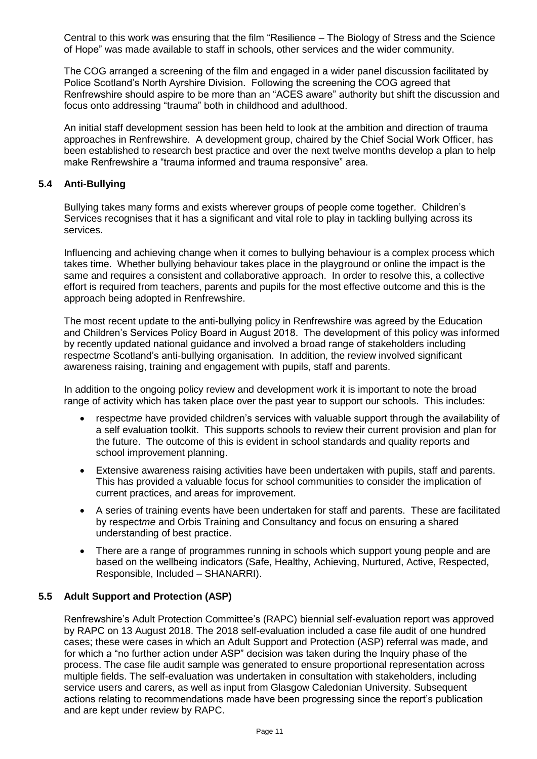Central to this work was ensuring that the film "Resilience – The Biology of Stress and the Science of Hope" was made available to staff in schools, other services and the wider community.

The COG arranged a screening of the film and engaged in a wider panel discussion facilitated by Police Scotland's North Ayrshire Division. Following the screening the COG agreed that Renfrewshire should aspire to be more than an "ACES aware" authority but shift the discussion and focus onto addressing "trauma" both in childhood and adulthood.

An initial staff development session has been held to look at the ambition and direction of trauma approaches in Renfrewshire. A development group, chaired by the Chief Social Work Officer, has been established to research best practice and over the next twelve months develop a plan to help make Renfrewshire a "trauma informed and trauma responsive" area.

#### **5.4 Anti-Bullying**

Bullying takes many forms and exists wherever groups of people come together. Children's Services recognises that it has a significant and vital role to play in tackling bullying across its services.

Influencing and achieving change when it comes to bullying behaviour is a complex process which takes time. Whether bullying behaviour takes place in the playground or online the impact is the same and requires a consistent and collaborative approach. In order to resolve this, a collective effort is required from teachers, parents and pupils for the most effective outcome and this is the approach being adopted in Renfrewshire.

The most recent update to the anti-bullying policy in Renfrewshire was agreed by the Education and Children's Services Policy Board in August 2018. The development of this policy was informed by recently updated national guidance and involved a broad range of stakeholders including respect*me* Scotland's anti-bullying organisation. In addition, the review involved significant awareness raising, training and engagement with pupils, staff and parents.

In addition to the ongoing policy review and development work it is important to note the broad range of activity which has taken place over the past year to support our schools. This includes:

- respect*me* have provided children's services with valuable support through the availability of a self evaluation toolkit. This supports schools to review their current provision and plan for the future. The outcome of this is evident in school standards and quality reports and school improvement planning.
- Extensive awareness raising activities have been undertaken with pupils, staff and parents. This has provided a valuable focus for school communities to consider the implication of current practices, and areas for improvement.
- A series of training events have been undertaken for staff and parents. These are facilitated by respect*me* and Orbis Training and Consultancy and focus on ensuring a shared understanding of best practice.
- There are a range of programmes running in schools which support young people and are based on the wellbeing indicators (Safe, Healthy, Achieving, Nurtured, Active, Respected, Responsible, Included – SHANARRI).

#### **5.5 Adult Support and Protection (ASP)**

Renfrewshire's Adult Protection Committee's (RAPC) biennial self-evaluation report was approved by RAPC on 13 August 2018. The 2018 self-evaluation included a case file audit of one hundred cases; these were cases in which an Adult Support and Protection (ASP) referral was made, and for which a "no further action under ASP" decision was taken during the Inquiry phase of the process. The case file audit sample was generated to ensure proportional representation across multiple fields. The self-evaluation was undertaken in consultation with stakeholders, including service users and carers, as well as input from Glasgow Caledonian University. Subsequent actions relating to recommendations made have been progressing since the report's publication and are kept under review by RAPC.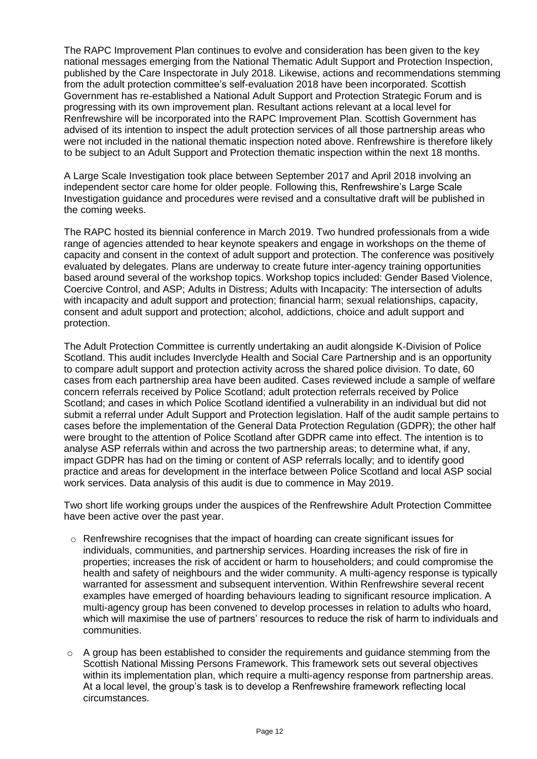The RAPC Improvement Plan continues to evolve and consideration has been given to the key national messages emerging from the National Thematic Adult Support and Protection Inspection, published by the Care Inspectorate in July 2018. Likewise, actions and recommendations stemming from the adult protection committee's self-evaluation 2018 have been incorporated. Scottish Government has re-established a National Adult Support and Protection Strategic Forum and is progressing with its own improvement plan. Resultant actions relevant at a local level for Renfrewshire will be incorporated into the RAPC Improvement Plan. Scottish Government has advised of its intention to inspect the adult protection services of all those partnership areas who were not included in the national thematic inspection noted above. Renfrewshire is therefore likely to be subject to an Adult Support and Protection thematic inspection within the next 18 months.

A Large Scale Investigation took place between September 2017 and April 2018 involving an independent sector care home for older people. Following this, Renfrewshire's Large Scale Investigation guidance and procedures were revised and a consultative draft will be published in the coming weeks.

The RAPC hosted its biennial conference in March 2019. Two hundred professionals from a wide range of agencies attended to hear keynote speakers and engage in workshops on the theme of capacity and consent in the context of adult support and protection. The conference was positively evaluated by delegates. Plans are underway to create future inter-agency training opportunities based around several of the workshop topics. Workshop topics included: Gender Based Violence, Coercive Control, and ASP; Adults in Distress; Adults with Incapacity: The intersection of adults with incapacity and adult support and protection; financial harm; sexual relationships, capacity, consent and adult support and protection; alcohol, addictions, choice and adult support and protection.

The Adult Protection Committee is currently undertaking an audit alongside K-Division of Police Scotland. This audit includes Inverclyde Health and Social Care Partnership and is an opportunity to compare adult support and protection activity across the shared police division. To date, 60 cases from each partnership area have been audited. Cases reviewed include a sample of welfare concern referrals received by Police Scotland; adult protection referrals received by Police Scotland; and cases in which Police Scotland identified a vulnerability in an individual but did not submit a referral under Adult Support and Protection legislation. Half of the audit sample pertains to cases before the implementation of the General Data Protection Regulation (GDPR); the other half were brought to the attention of Police Scotland after GDPR came into effect. The intention is to analyse ASP referrals within and across the two partnership areas; to determine what, if any, impact GDPR has had on the timing or content of ASP referrals locally; and to identify good practice and areas for development in the interface between Police Scotland and local ASP social work services. Data analysis of this audit is due to commence in May 2019.

Two short life working groups under the auspices of the Renfrewshire Adult Protection Committee have been active over the past year.

- $\circ$  Renfrewshire recognises that the impact of hoarding can create significant issues for individuals, communities, and partnership services. Hoarding increases the risk of fire in properties; increases the risk of accident or harm to householders; and could compromise the health and safety of neighbours and the wider community. A multi-agency response is typically warranted for assessment and subsequent intervention. Within Renfrewshire several recent examples have emerged of hoarding behaviours leading to significant resource implication. A multi-agency group has been convened to develop processes in relation to adults who hoard, which will maximise the use of partners' resources to reduce the risk of harm to individuals and communities.
- $\circ$  A group has been established to consider the requirements and guidance stemming from the Scottish National Missing Persons Framework. This framework sets out several objectives within its implementation plan, which require a multi-agency response from partnership areas. At a local level, the group's task is to develop a Renfrewshire framework reflecting local circumstances.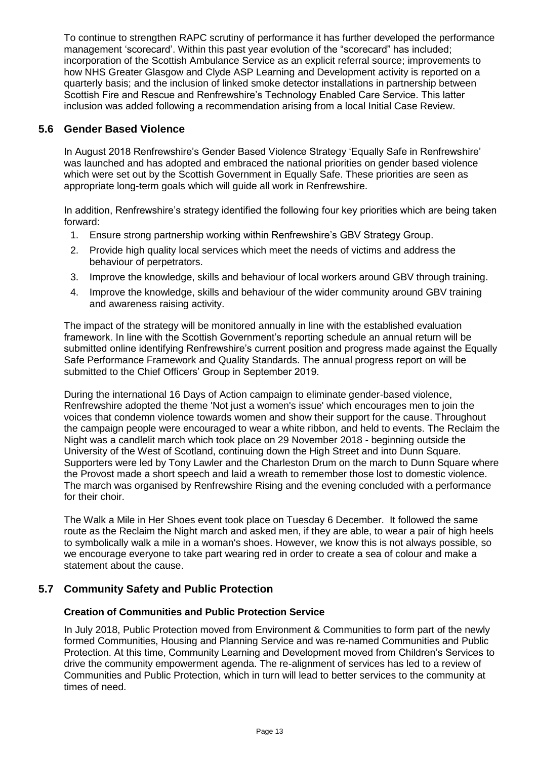To continue to strengthen RAPC scrutiny of performance it has further developed the performance management 'scorecard'. Within this past year evolution of the "scorecard" has included; incorporation of the Scottish Ambulance Service as an explicit referral source; improvements to how NHS Greater Glasgow and Clyde ASP Learning and Development activity is reported on a quarterly basis; and the inclusion of linked smoke detector installations in partnership between Scottish Fire and Rescue and Renfrewshire's Technology Enabled Care Service. This latter inclusion was added following a recommendation arising from a local Initial Case Review.

# **5.6 Gender Based Violence**

In August 2018 Renfrewshire's Gender Based Violence Strategy 'Equally Safe in Renfrewshire' was launched and has adopted and embraced the national priorities on gender based violence which were set out by the Scottish Government in Equally Safe. These priorities are seen as appropriate long-term goals which will guide all work in Renfrewshire.

In addition, Renfrewshire's strategy identified the following four key priorities which are being taken forward:

- 1. Ensure strong partnership working within Renfrewshire's GBV Strategy Group.
- 2. Provide high quality local services which meet the needs of victims and address the behaviour of perpetrators.
- 3. Improve the knowledge, skills and behaviour of local workers around GBV through training.
- 4. Improve the knowledge, skills and behaviour of the wider community around GBV training and awareness raising activity.

The impact of the strategy will be monitored annually in line with the established evaluation framework. In line with the Scottish Government's reporting schedule an annual return will be submitted online identifying Renfrewshire's current position and progress made against the Equally Safe Performance Framework and Quality Standards. The annual progress report on will be submitted to the Chief Officers' Group in September 2019.

During the international 16 Days of Action campaign to eliminate gender-based violence, Renfrewshire adopted the theme 'Not just a women's issue' which encourages men to join the voices that condemn violence towards women and show their support for the cause. Throughout the campaign people were encouraged to wear a white ribbon, and held to events. The Reclaim the Night was a candlelit march which took place on 29 November 2018 - beginning outside the University of the West of Scotland, continuing down the High Street and into Dunn Square. Supporters were led by Tony Lawler and the Charleston Drum on the march to Dunn Square where the Provost made a short speech and laid a wreath to remember those lost to domestic violence. The march was organised by Renfrewshire Rising and the evening concluded with a performance for their choir.

The Walk a Mile in Her Shoes event took place on Tuesday 6 December. It followed the same route as the Reclaim the Night march and asked men, if they are able, to wear a pair of high heels to symbolically walk a mile in a woman's shoes. However, we know this is not always possible, so we encourage everyone to take part wearing red in order to create a sea of colour and make a statement about the cause.

# **5.7 Community Safety and Public Protection**

#### **Creation of Communities and Public Protection Service**

In July 2018, Public Protection moved from Environment & Communities to form part of the newly formed Communities, Housing and Planning Service and was re-named Communities and Public Protection. At this time, Community Learning and Development moved from Children's Services to drive the community empowerment agenda. The re-alignment of services has led to a review of Communities and Public Protection, which in turn will lead to better services to the community at times of need.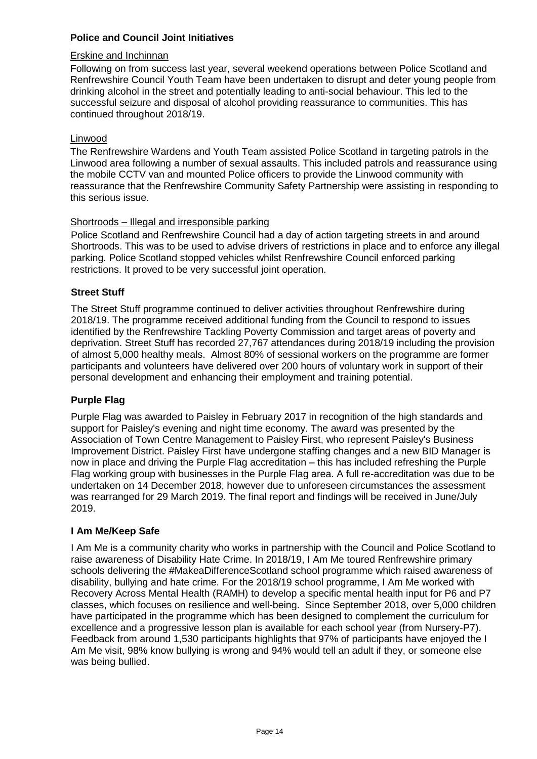#### **Police and Council Joint Initiatives**

#### Erskine and Inchinnan

Following on from success last year, several weekend operations between Police Scotland and Renfrewshire Council Youth Team have been undertaken to disrupt and deter young people from drinking alcohol in the street and potentially leading to anti-social behaviour. This led to the successful seizure and disposal of alcohol providing reassurance to communities. This has continued throughout 2018/19.

#### Linwood

The Renfrewshire Wardens and Youth Team assisted Police Scotland in targeting patrols in the Linwood area following a number of sexual assaults. This included patrols and reassurance using the mobile CCTV van and mounted Police officers to provide the Linwood community with reassurance that the Renfrewshire Community Safety Partnership were assisting in responding to this serious issue.

#### Shortroods – Illegal and irresponsible parking

Police Scotland and Renfrewshire Council had a day of action targeting streets in and around Shortroods. This was to be used to advise drivers of restrictions in place and to enforce any illegal parking. Police Scotland stopped vehicles whilst Renfrewshire Council enforced parking restrictions. It proved to be very successful joint operation.

#### **Street Stuff**

The Street Stuff programme continued to deliver activities throughout Renfrewshire during 2018/19. The programme received additional funding from the Council to respond to issues identified by the Renfrewshire Tackling Poverty Commission and target areas of poverty and deprivation. Street Stuff has recorded 27,767 attendances during 2018/19 including the provision of almost 5,000 healthy meals. Almost 80% of sessional workers on the programme are former participants and volunteers have delivered over 200 hours of voluntary work in support of their personal development and enhancing their employment and training potential.

#### **Purple Flag**

Purple Flag was awarded to Paisley in February 2017 in recognition of the high standards and support for Paisley's evening and night time economy. The award was presented by the Association of Town Centre Management to Paisley First, who represent Paisley's Business Improvement District. Paisley First have undergone staffing changes and a new BID Manager is now in place and driving the Purple Flag accreditation – this has included refreshing the Purple Flag working group with businesses in the Purple Flag area. A full re-accreditation was due to be undertaken on 14 December 2018, however due to unforeseen circumstances the assessment was rearranged for 29 March 2019. The final report and findings will be received in June/July 2019.

#### **I Am Me/Keep Safe**

I Am Me is a community charity who works in partnership with the Council and Police Scotland to raise awareness of Disability Hate Crime. In 2018/19, I Am Me toured Renfrewshire primary schools delivering the #MakeaDifferenceScotland school programme which raised awareness of disability, bullying and hate crime. For the 2018/19 school programme, I Am Me worked with Recovery Across Mental Health (RAMH) to develop a specific mental health input for P6 and P7 classes, which focuses on resilience and well-being. Since September 2018, over 5,000 children have participated in the programme which has been designed to complement the curriculum for excellence and a progressive lesson plan is available for each school year (from Nursery-P7). Feedback from around 1,530 participants highlights that 97% of participants have enjoyed the I Am Me visit, 98% know bullying is wrong and 94% would tell an adult if they, or someone else was being bullied.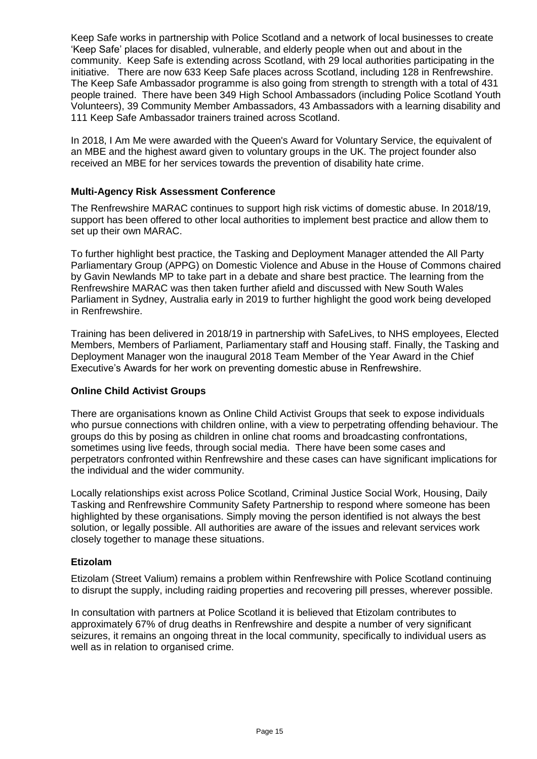Keep Safe works in partnership with Police Scotland and a network of local businesses to create 'Keep Safe' places for disabled, vulnerable, and elderly people when out and about in the community. Keep Safe is extending across Scotland, with 29 local authorities participating in the initiative. There are now 633 Keep Safe places across Scotland, including 128 in Renfrewshire. The Keep Safe Ambassador programme is also going from strength to strength with a total of 431 people trained. There have been 349 High School Ambassadors (including Police Scotland Youth Volunteers), 39 Community Member Ambassadors, 43 Ambassadors with a learning disability and 111 Keep Safe Ambassador trainers trained across Scotland.

In 2018, I Am Me were awarded with the Queen's Award for Voluntary Service, the equivalent of an MBE and the highest award given to voluntary groups in the UK. The project founder also received an MBE for her services towards the prevention of disability hate crime.

#### **Multi-Agency Risk Assessment Conference**

The Renfrewshire MARAC continues to support high risk victims of domestic abuse. In 2018/19, support has been offered to other local authorities to implement best practice and allow them to set up their own MARAC.

To further highlight best practice, the Tasking and Deployment Manager attended the All Party Parliamentary Group (APPG) on Domestic Violence and Abuse in the House of Commons chaired by Gavin Newlands MP to take part in a debate and share best practice. The learning from the Renfrewshire MARAC was then taken further afield and discussed with New South Wales Parliament in Sydney, Australia early in 2019 to further highlight the good work being developed in Renfrewshire.

Training has been delivered in 2018/19 in partnership with SafeLives, to NHS employees, Elected Members, Members of Parliament, Parliamentary staff and Housing staff. Finally, the Tasking and Deployment Manager won the inaugural 2018 Team Member of the Year Award in the Chief Executive's Awards for her work on preventing domestic abuse in Renfrewshire.

#### **Online Child Activist Groups**

There are organisations known as Online Child Activist Groups that seek to expose individuals who pursue connections with children online, with a view to perpetrating offending behaviour. The groups do this by posing as children in online chat rooms and broadcasting confrontations, sometimes using live feeds, through social media. There have been some cases and perpetrators confronted within Renfrewshire and these cases can have significant implications for the individual and the wider community.

Locally relationships exist across Police Scotland, Criminal Justice Social Work, Housing, Daily Tasking and Renfrewshire Community Safety Partnership to respond where someone has been highlighted by these organisations. Simply moving the person identified is not always the best solution, or legally possible. All authorities are aware of the issues and relevant services work closely together to manage these situations.

#### **Etizolam**

Etizolam (Street Valium) remains a problem within Renfrewshire with Police Scotland continuing to disrupt the supply, including raiding properties and recovering pill presses, wherever possible.

In consultation with partners at Police Scotland it is believed that Etizolam contributes to approximately 67% of drug deaths in Renfrewshire and despite a number of very significant seizures, it remains an ongoing threat in the local community, specifically to individual users as well as in relation to organised crime.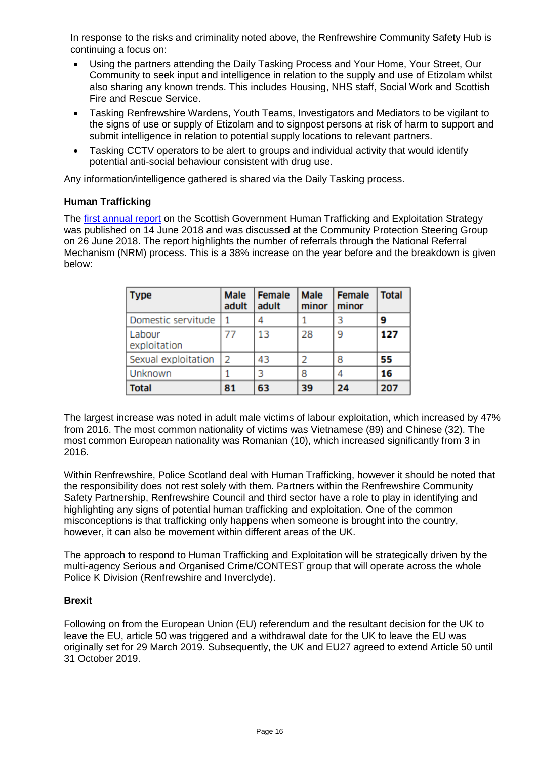In response to the risks and criminality noted above, the Renfrewshire Community Safety Hub is continuing a focus on:

- Using the partners attending the Daily Tasking Process and Your Home, Your Street, Our Community to seek input and intelligence in relation to the supply and use of Etizolam whilst also sharing any known trends. This includes Housing, NHS staff, Social Work and Scottish Fire and Rescue Service.
- Tasking Renfrewshire Wardens, Youth Teams, Investigators and Mediators to be vigilant to the signs of use or supply of Etizolam and to signpost persons at risk of harm to support and submit intelligence in relation to potential supply locations to relevant partners.
- Tasking CCTV operators to be alert to groups and individual activity that would identify potential anti-social behaviour consistent with drug use.

Any information/intelligence gathered is shared via the Daily Tasking process.

#### **Human Trafficking**

The [first annual report](http://www.gov.scot/Resource/0053/00536753.pdf) on the Scottish Government Human Trafficking and Exploitation Strategy was published on 14 June 2018 and was discussed at the Community Protection Steering Group on 26 June 2018. The report highlights the number of referrals through the National Referral Mechanism (NRM) process. This is a 38% increase on the year before and the breakdown is given below:

| <b>Type</b>            | <b>Male</b><br>adult | <b>Female</b><br>adult | <b>Male</b><br>minor | <b>Female</b><br>minor | <b>Total</b> |
|------------------------|----------------------|------------------------|----------------------|------------------------|--------------|
| Domestic servitude     | 1                    |                        |                      |                        | 9            |
| Labour<br>exploitation |                      | 13                     | 28                   | 9                      | 127          |
| Sexual exploitation    | $\overline{2}$       | 43                     | 2                    | 8                      | 55           |
| Unknown                |                      |                        | 8                    | 4                      | 16           |
| <b>Total</b>           | 81                   | 63                     | 39                   | 24                     | 207          |

The largest increase was noted in adult male victims of labour exploitation, which increased by 47% from 2016. The most common nationality of victims was Vietnamese (89) and Chinese (32). The most common European nationality was Romanian (10), which increased significantly from 3 in 2016.

Within Renfrewshire, Police Scotland deal with Human Trafficking, however it should be noted that the responsibility does not rest solely with them. Partners within the Renfrewshire Community Safety Partnership, Renfrewshire Council and third sector have a role to play in identifying and highlighting any signs of potential human trafficking and exploitation. One of the common misconceptions is that trafficking only happens when someone is brought into the country, however, it can also be movement within different areas of the UK.

The approach to respond to Human Trafficking and Exploitation will be strategically driven by the multi-agency Serious and Organised Crime/CONTEST group that will operate across the whole Police K Division (Renfrewshire and Inverclyde).

#### **Brexit**

Following on from the European Union (EU) referendum and the resultant decision for the UK to leave the EU, article 50 was triggered and a withdrawal date for the UK to leave the EU was originally set for 29 March 2019. Subsequently, the UK and EU27 agreed to extend Article 50 until 31 October 2019.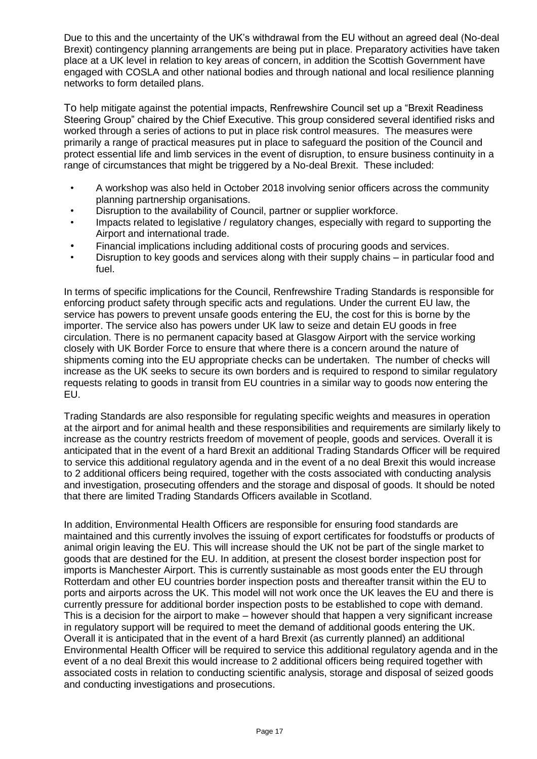Due to this and the uncertainty of the UK's withdrawal from the EU without an agreed deal (No-deal Brexit) contingency planning arrangements are being put in place. Preparatory activities have taken place at a UK level in relation to key areas of concern, in addition the Scottish Government have engaged with COSLA and other national bodies and through national and local resilience planning networks to form detailed plans.

To help mitigate against the potential impacts, Renfrewshire Council set up a "Brexit Readiness Steering Group" chaired by the Chief Executive. This group considered several identified risks and worked through a series of actions to put in place risk control measures. The measures were primarily a range of practical measures put in place to safeguard the position of the Council and protect essential life and limb services in the event of disruption, to ensure business continuity in a range of circumstances that might be triggered by a No-deal Brexit. These included:

- A workshop was also held in October 2018 involving senior officers across the community planning partnership organisations.
- Disruption to the availability of Council, partner or supplier workforce.
- Impacts related to legislative / regulatory changes, especially with regard to supporting the Airport and international trade.
- Financial implications including additional costs of procuring goods and services.
- Disruption to key goods and services along with their supply chains in particular food and fuel.

In terms of specific implications for the Council, Renfrewshire Trading Standards is responsible for enforcing product safety through specific acts and regulations. Under the current EU law, the service has powers to prevent unsafe goods entering the EU, the cost for this is borne by the importer. The service also has powers under UK law to seize and detain EU goods in free circulation. There is no permanent capacity based at Glasgow Airport with the service working closely with UK Border Force to ensure that where there is a concern around the nature of shipments coming into the EU appropriate checks can be undertaken. The number of checks will increase as the UK seeks to secure its own borders and is required to respond to similar regulatory requests relating to goods in transit from EU countries in a similar way to goods now entering the EU.

Trading Standards are also responsible for regulating specific weights and measures in operation at the airport and for animal health and these responsibilities and requirements are similarly likely to increase as the country restricts freedom of movement of people, goods and services. Overall it is anticipated that in the event of a hard Brexit an additional Trading Standards Officer will be required to service this additional regulatory agenda and in the event of a no deal Brexit this would increase to 2 additional officers being required, together with the costs associated with conducting analysis and investigation, prosecuting offenders and the storage and disposal of goods. It should be noted that there are limited Trading Standards Officers available in Scotland.

In addition, Environmental Health Officers are responsible for ensuring food standards are maintained and this currently involves the issuing of export certificates for foodstuffs or products of animal origin leaving the EU. This will increase should the UK not be part of the single market to goods that are destined for the EU. In addition, at present the closest border inspection post for imports is Manchester Airport. This is currently sustainable as most goods enter the EU through Rotterdam and other EU countries border inspection posts and thereafter transit within the EU to ports and airports across the UK. This model will not work once the UK leaves the EU and there is currently pressure for additional border inspection posts to be established to cope with demand. This is a decision for the airport to make – however should that happen a very significant increase in regulatory support will be required to meet the demand of additional goods entering the UK. Overall it is anticipated that in the event of a hard Brexit (as currently planned) an additional Environmental Health Officer will be required to service this additional regulatory agenda and in the event of a no deal Brexit this would increase to 2 additional officers being required together with associated costs in relation to conducting scientific analysis, storage and disposal of seized goods and conducting investigations and prosecutions.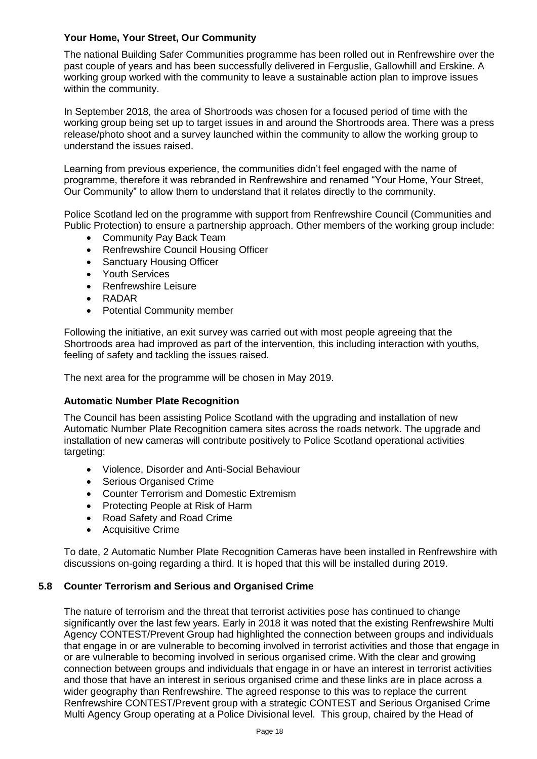## **Your Home, Your Street, Our Community**

The national Building Safer Communities programme has been rolled out in Renfrewshire over the past couple of years and has been successfully delivered in Ferguslie, Gallowhill and Erskine. A working group worked with the community to leave a sustainable action plan to improve issues within the community.

In September 2018, the area of Shortroods was chosen for a focused period of time with the working group being set up to target issues in and around the Shortroods area. There was a press release/photo shoot and a survey launched within the community to allow the working group to understand the issues raised.

Learning from previous experience, the communities didn't feel engaged with the name of programme, therefore it was rebranded in Renfrewshire and renamed "Your Home, Your Street, Our Community" to allow them to understand that it relates directly to the community.

Police Scotland led on the programme with support from Renfrewshire Council (Communities and Public Protection) to ensure a partnership approach. Other members of the working group include:

- Community Pay Back Team
- Renfrewshire Council Housing Officer
- Sanctuary Housing Officer
- Youth Services
- Renfrewshire Leisure
- RADAR
- Potential Community member

Following the initiative, an exit survey was carried out with most people agreeing that the Shortroods area had improved as part of the intervention, this including interaction with youths, feeling of safety and tackling the issues raised.

The next area for the programme will be chosen in May 2019.

#### **Automatic Number Plate Recognition**

The Council has been assisting Police Scotland with the upgrading and installation of new Automatic Number Plate Recognition camera sites across the roads network. The upgrade and installation of new cameras will contribute positively to Police Scotland operational activities targeting:

- Violence, Disorder and Anti-Social Behaviour
- Serious Organised Crime
- Counter Terrorism and Domestic Extremism
- Protecting People at Risk of Harm
- Road Safety and Road Crime
- Acquisitive Crime

To date, 2 Automatic Number Plate Recognition Cameras have been installed in Renfrewshire with discussions on-going regarding a third. It is hoped that this will be installed during 2019.

#### **5.8 Counter Terrorism and Serious and Organised Crime**

The nature of terrorism and the threat that terrorist activities pose has continued to change significantly over the last few years. Early in 2018 it was noted that the existing Renfrewshire Multi Agency CONTEST/Prevent Group had highlighted the connection between groups and individuals that engage in or are vulnerable to becoming involved in terrorist activities and those that engage in or are vulnerable to becoming involved in serious organised crime. With the clear and growing connection between groups and individuals that engage in or have an interest in terrorist activities and those that have an interest in serious organised crime and these links are in place across a wider geography than Renfrewshire. The agreed response to this was to replace the current Renfrewshire CONTEST/Prevent group with a strategic CONTEST and Serious Organised Crime Multi Agency Group operating at a Police Divisional level. This group, chaired by the Head of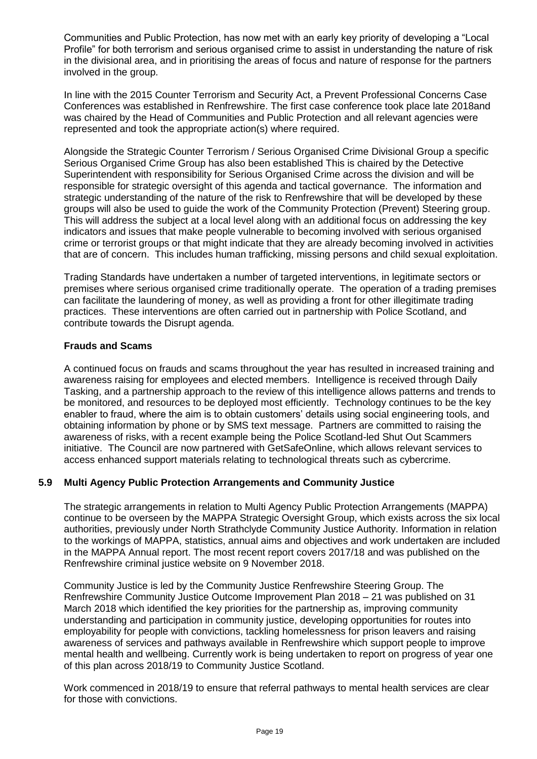Communities and Public Protection, has now met with an early key priority of developing a "Local Profile" for both terrorism and serious organised crime to assist in understanding the nature of risk in the divisional area, and in prioritising the areas of focus and nature of response for the partners involved in the group.

In line with the 2015 Counter Terrorism and Security Act, a Prevent Professional Concerns Case Conferences was established in Renfrewshire. The first case conference took place late 2018and was chaired by the Head of Communities and Public Protection and all relevant agencies were represented and took the appropriate action(s) where required.

Alongside the Strategic Counter Terrorism / Serious Organised Crime Divisional Group a specific Serious Organised Crime Group has also been established This is chaired by the Detective Superintendent with responsibility for Serious Organised Crime across the division and will be responsible for strategic oversight of this agenda and tactical governance. The information and strategic understanding of the nature of the risk to Renfrewshire that will be developed by these groups will also be used to guide the work of the Community Protection (Prevent) Steering group. This will address the subject at a local level along with an additional focus on addressing the key indicators and issues that make people vulnerable to becoming involved with serious organised crime or terrorist groups or that might indicate that they are already becoming involved in activities that are of concern. This includes human trafficking, missing persons and child sexual exploitation.

Trading Standards have undertaken a number of targeted interventions, in legitimate sectors or premises where serious organised crime traditionally operate. The operation of a trading premises can facilitate the laundering of money, as well as providing a front for other illegitimate trading practices. These interventions are often carried out in partnership with Police Scotland, and contribute towards the Disrupt agenda.

## **Frauds and Scams**

A continued focus on frauds and scams throughout the year has resulted in increased training and awareness raising for employees and elected members. Intelligence is received through Daily Tasking, and a partnership approach to the review of this intelligence allows patterns and trends to be monitored, and resources to be deployed most efficiently. Technology continues to be the key enabler to fraud, where the aim is to obtain customers' details using social engineering tools, and obtaining information by phone or by SMS text message. Partners are committed to raising the awareness of risks, with a recent example being the Police Scotland-led Shut Out Scammers initiative. The Council are now partnered with GetSafeOnline, which allows relevant services to access enhanced support materials relating to technological threats such as cybercrime.

# **5.9 Multi Agency Public Protection Arrangements and Community Justice**

The strategic arrangements in relation to Multi Agency Public Protection Arrangements (MAPPA) continue to be overseen by the MAPPA Strategic Oversight Group, which exists across the six local authorities, previously under North Strathclyde Community Justice Authority. Information in relation to the workings of MAPPA, statistics, annual aims and objectives and work undertaken are included in the MAPPA Annual report. The most recent report covers 2017/18 and was published on the Renfrewshire criminal justice website on 9 November 2018.

Community Justice is led by the Community Justice Renfrewshire Steering Group. The Renfrewshire Community Justice Outcome Improvement Plan 2018 – 21 was published on 31 March 2018 which identified the key priorities for the partnership as, improving community understanding and participation in community justice, developing opportunities for routes into employability for people with convictions, tackling homelessness for prison leavers and raising awareness of services and pathways available in Renfrewshire which support people to improve mental health and wellbeing. Currently work is being undertaken to report on progress of year one of this plan across 2018/19 to Community Justice Scotland.

Work commenced in 2018/19 to ensure that referral pathways to mental health services are clear for those with convictions.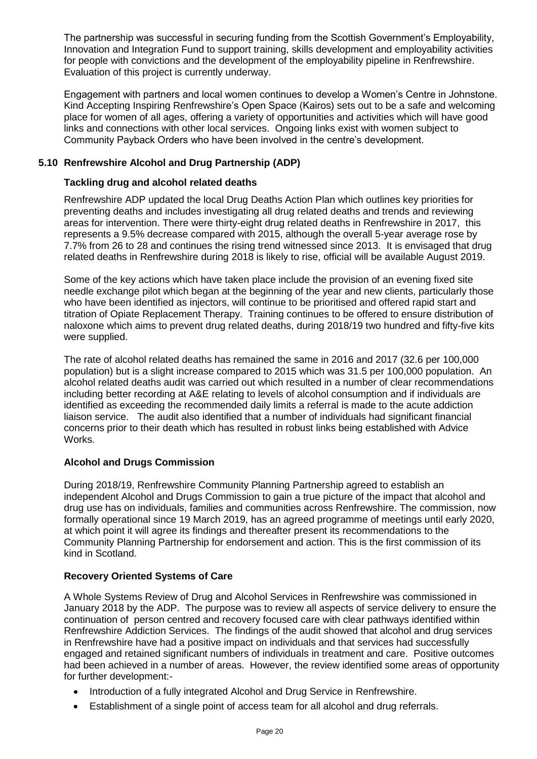The partnership was successful in securing funding from the Scottish Government's Employability, Innovation and Integration Fund to support training, skills development and employability activities for people with convictions and the development of the employability pipeline in Renfrewshire. Evaluation of this project is currently underway.

Engagement with partners and local women continues to develop a Women's Centre in Johnstone. Kind Accepting Inspiring Renfrewshire's Open Space (Kairos) sets out to be a safe and welcoming place for women of all ages, offering a variety of opportunities and activities which will have good links and connections with other local services. Ongoing links exist with women subject to Community Payback Orders who have been involved in the centre's development.

## **5.10 Renfrewshire Alcohol and Drug Partnership (ADP)**

#### **Tackling drug and alcohol related deaths**

Renfrewshire ADP updated the local Drug Deaths Action Plan which outlines key priorities for preventing deaths and includes investigating all drug related deaths and trends and reviewing areas for intervention. There were thirty-eight drug related deaths in Renfrewshire in 2017, this represents a 9.5% decrease compared with 2015, although the overall 5-year average rose by 7.7% from 26 to 28 and continues the rising trend witnessed since 2013. It is envisaged that drug related deaths in Renfrewshire during 2018 is likely to rise, official will be available August 2019.

Some of the key actions which have taken place include the provision of an evening fixed site needle exchange pilot which began at the beginning of the year and new clients, particularly those who have been identified as injectors, will continue to be prioritised and offered rapid start and titration of Opiate Replacement Therapy. Training continues to be offered to ensure distribution of naloxone which aims to prevent drug related deaths, during 2018/19 two hundred and fifty-five kits were supplied.

The rate of alcohol related deaths has remained the same in 2016 and 2017 (32.6 per 100,000 population) but is a slight increase compared to 2015 which was 31.5 per 100,000 population. An alcohol related deaths audit was carried out which resulted in a number of clear recommendations including better recording at A&E relating to levels of alcohol consumption and if individuals are identified as exceeding the recommended daily limits a referral is made to the acute addiction liaison service. The audit also identified that a number of individuals had significant financial concerns prior to their death which has resulted in robust links being established with Advice Works.

#### **Alcohol and Drugs Commission**

During 2018/19, Renfrewshire Community Planning Partnership agreed to establish an independent Alcohol and Drugs Commission to gain a true picture of the impact that alcohol and drug use has on individuals, families and communities across Renfrewshire. The commission, now formally operational since 19 March 2019, has an agreed programme of meetings until early 2020, at which point it will agree its findings and thereafter present its recommendations to the Community Planning Partnership for endorsement and action. This is the first commission of its kind in Scotland.

# **Recovery Oriented Systems of Care**

A Whole Systems Review of Drug and Alcohol Services in Renfrewshire was commissioned in January 2018 by the ADP. The purpose was to review all aspects of service delivery to ensure the continuation of person centred and recovery focused care with clear pathways identified within Renfrewshire Addiction Services. The findings of the audit showed that alcohol and drug services in Renfrewshire have had a positive impact on individuals and that services had successfully engaged and retained significant numbers of individuals in treatment and care. Positive outcomes had been achieved in a number of areas. However, the review identified some areas of opportunity for further development:-

- Introduction of a fully integrated Alcohol and Drug Service in Renfrewshire.
- Establishment of a single point of access team for all alcohol and drug referrals.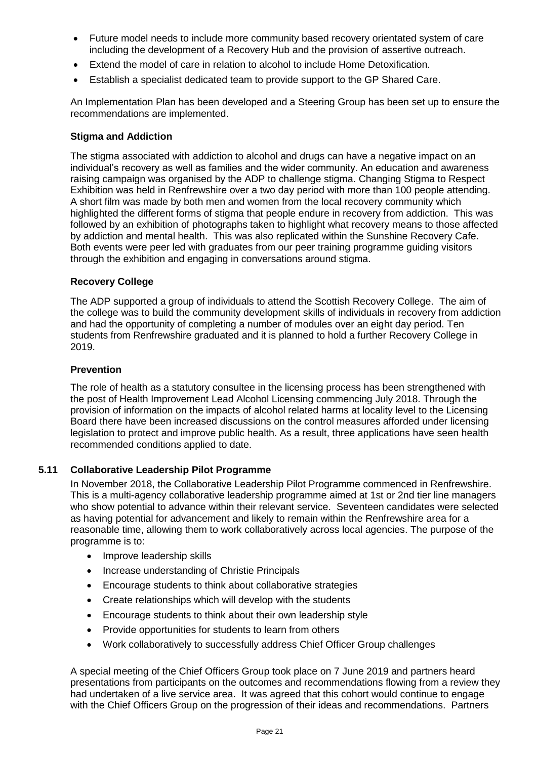- Future model needs to include more community based recovery orientated system of care including the development of a Recovery Hub and the provision of assertive outreach.
- Extend the model of care in relation to alcohol to include Home Detoxification.
- Establish a specialist dedicated team to provide support to the GP Shared Care.

An Implementation Plan has been developed and a Steering Group has been set up to ensure the recommendations are implemented.

#### **Stigma and Addiction**

The stigma associated with addiction to alcohol and drugs can have a negative impact on an individual's recovery as well as families and the wider community. An education and awareness raising campaign was organised by the ADP to challenge stigma. Changing Stigma to Respect Exhibition was held in Renfrewshire over a two day period with more than 100 people attending. A short film was made by both men and women from the local recovery community which highlighted the different forms of stigma that people endure in recovery from addiction. This was followed by an exhibition of photographs taken to highlight what recovery means to those affected by addiction and mental health. This was also replicated within the Sunshine Recovery Cafe. Both events were peer led with graduates from our peer training programme guiding visitors through the exhibition and engaging in conversations around stigma.

#### **Recovery College**

The ADP supported a group of individuals to attend the Scottish Recovery College. The aim of the college was to build the community development skills of individuals in recovery from addiction and had the opportunity of completing a number of modules over an eight day period. Ten students from Renfrewshire graduated and it is planned to hold a further Recovery College in 2019.

#### **Prevention**

The role of health as a statutory consultee in the licensing process has been strengthened with the post of Health Improvement Lead Alcohol Licensing commencing July 2018. Through the provision of information on the impacts of alcohol related harms at locality level to the Licensing Board there have been increased discussions on the control measures afforded under licensing legislation to protect and improve public health. As a result, three applications have seen health recommended conditions applied to date.

#### **5.11 Collaborative Leadership Pilot Programme**

In November 2018, the Collaborative Leadership Pilot Programme commenced in Renfrewshire. This is a multi-agency collaborative leadership programme aimed at 1st or 2nd tier line managers who show potential to advance within their relevant service. Seventeen candidates were selected as having potential for advancement and likely to remain within the Renfrewshire area for a reasonable time, allowing them to work collaboratively across local agencies. The purpose of the programme is to:

- Improve leadership skills
- Increase understanding of Christie Principals
- Encourage students to think about collaborative strategies
- Create relationships which will develop with the students
- Encourage students to think about their own leadership style
- Provide opportunities for students to learn from others
- Work collaboratively to successfully address Chief Officer Group challenges

A special meeting of the Chief Officers Group took place on 7 June 2019 and partners heard presentations from participants on the outcomes and recommendations flowing from a review they had undertaken of a live service area. It was agreed that this cohort would continue to engage with the Chief Officers Group on the progression of their ideas and recommendations. Partners